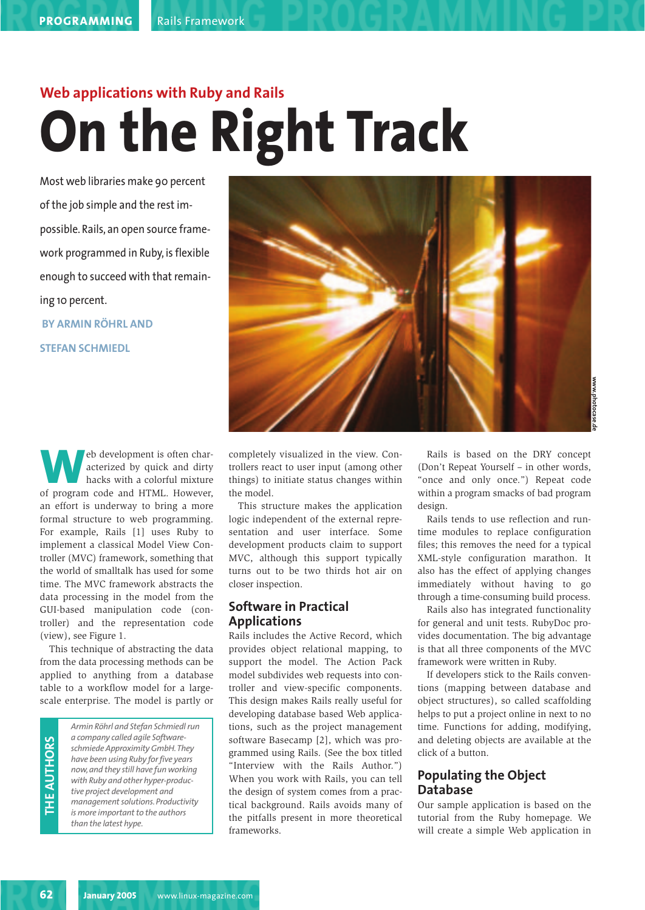### **Web applications with Ruby and Rails On the Right Track**

Most web libraries make 90 percent of the job simple and the rest impossible. Rails, an open source framework programmed in Ruby, is flexible enough to succeed with that remaining 10 percent.

**BY ARMIN RÖHRL AND STEFAN SCHMIEDL**



**Web development is often characterized by quick and dirty hacks with a colorful mixture of program code and HTML. However,** acterized by quick and dirty hacks with a colorful mixture an effort is underway to bring a more formal structure to web programming. For example, Rails [1] uses Ruby to implement a classical Model View Controller (MVC) framework, something that the world of smalltalk has used for some time. The MVC framework abstracts the data processing in the model from the GUI-based manipulation code (controller) and the representation code (view), see Figure 1.

This technique of abstracting the data from the data processing methods can be applied to anything from a database table to a workflow model for a largescale enterprise. The model is partly or

**THE AU THORS**

*Armin Röhrl and Stefan Schmiedl run a company called agile Softwareschmiede Approximity GmbH.They have been using Ruby for five years now, and they still have fun working with Ruby and other hyper-productive project development and management solutions. Productivity is more important to the authors than the latest hype.*

completely visualized in the view. Controllers react to user input (among other things) to initiate status changes within the model.

This structure makes the application logic independent of the external representation and user interface. Some development products claim to support MVC, although this support typically turns out to be two thirds hot air on closer inspection.

### **Software in Practical Applications**

Rails includes the Active Record, which provides object relational mapping, to support the model. The Action Pack model subdivides web requests into controller and view-specific components. This design makes Rails really useful for developing database based Web applications, such as the project management software Basecamp [2], which was programmed using Rails. (See the box titled "Interview with the Rails Author.") When you work with Rails, you can tell the design of system comes from a practical background. Rails avoids many of the pitfalls present in more theoretical frameworks.

Rails is based on the DRY concept (Don't Repeat Yourself – in other words, "once and only once.") Repeat code within a program smacks of bad program design.

Rails tends to use reflection and runtime modules to replace configuration files; this removes the need for a typical XML-style configuration marathon. It also has the effect of applying changes immediately without having to go through a time-consuming build process.

Rails also has integrated functionality for general and unit tests. RubyDoc provides documentation. The big advantage is that all three components of the MVC framework were written in Ruby.

If developers stick to the Rails conventions (mapping between database and object structures), so called scaffolding helps to put a project online in next to no time. Functions for adding, modifying, and deleting objects are available at the click of a button.

### **Populating the Object Database**

Our sample application is based on the tutorial from the Ruby homepage. We will create a simple Web application in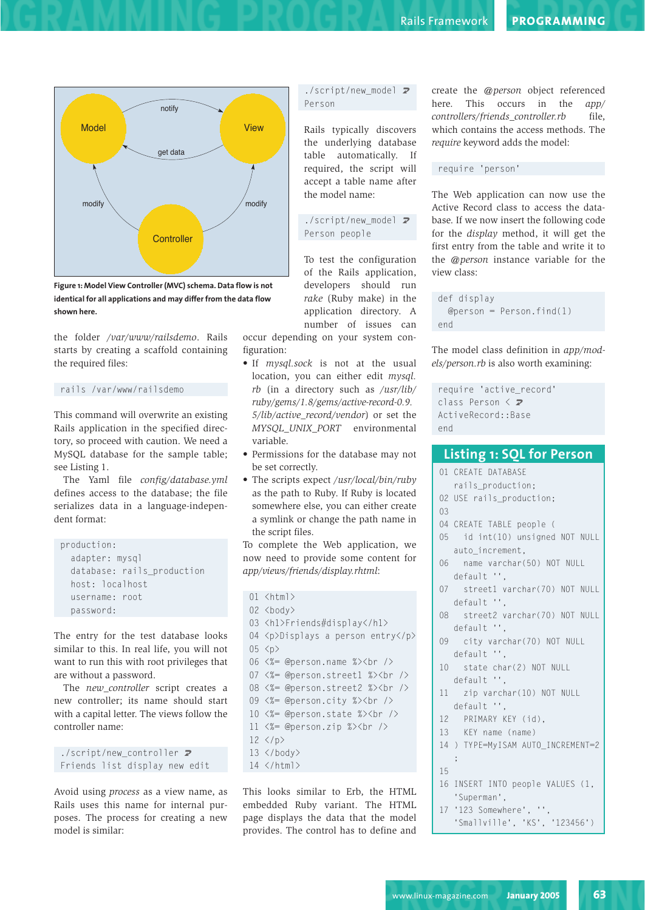

**Figure 1: Model View Controller (MVC) schema. Data flow is not identical for all applications and may differ from the data flow shown here.**

the folder */var/www/railsdemo*. Rails starts by creating a scaffold containing the required files:

```
rails /var/www/railsdemo
```
This command will overwrite an existing Rails application in the specified directory, so proceed with caution. We need a MySQL database for the sample table; see Listing 1.

The Yaml file *config/database.yml* defines access to the database; the file serializes data in a language-independent format:

```
production:
  adapter: mysql
  database: rails_production
  host: localhost
  username: root
 password:
```
The entry for the test database looks similar to this. In real life, you will not want to run this with root privileges that are without a password.

The *new\_controller* script creates a new controller; its name should start with a capital letter. The views follow the controller name:

```
./script/new_controller \boldsymbol{z}Friends list display new edit
```
Avoid using *process* as a view name, as Rails uses this name for internal purposes. The process for creating a new model is similar:

### $./$ script/new model  $Z$ Person

Rails typically discovers the underlying database table automatically. If required, the script will accept a table name after the model name:

 $./$ script/new model  $Z$ Person people

To test the configuration of the Rails application, developers should run *rake* (Ruby make) in the application directory. A number of issues can

occur depending on your system configuration:

- If *mysql.sock* is not at the usual location, you can either edit *mysql. rb* (in a directory such as */usr/lib/ ruby/gems/1.8/gems/active-record-0.9. 5/lib/active\_record/vendor*) or set the *MYSQL\_UNIX\_PORT* environmental variable.
- Permissions for the database may not be set correctly.
- The scripts expect */usr/local/bin/ruby* as the path to Ruby. If Ruby is located somewhere else, you can either create a symlink or change the path name in the script files.

To complete the Web application, we now need to provide some content for *app/views/friends/display.rhtml*:

```
01 <html>
02 <body>
03 <h1>Friends#display</h1>
04 <p>Displays a person entry</p>
05 <p>
06 <%= @person.name %><br />
07 <%= @person.street1 %><br />
08 <%= @person.street2 %><br />
09 <%= @person.city %><br />
10 <%= @person.state %><br />
11 <%= @person.zip %><br />
12 \langle p \rangle13 \langle/body\rangle14 </html>
```
This looks similar to Erb, the HTML embedded Ruby variant. The HTML page displays the data that the model provides. The control has to define and create the *@person* object referenced here. This occurs in the *app/ controllers/friends\_controller.rb* file, which contains the access methods. The *require* keyword adds the model:

### require 'person'

The Web application can now use the Active Record class to access the database. If we now insert the following code for the *display* method, it will get the first entry from the table and write it to the *@person* instance variable for the view class:

```
def display
 @person = Person.find(1)end
```
The model class definition in *app/models/person.rb* is also worth examining:

```
require 'active_record'
class Person \langle z \rangleActiveRecord::Base
end
```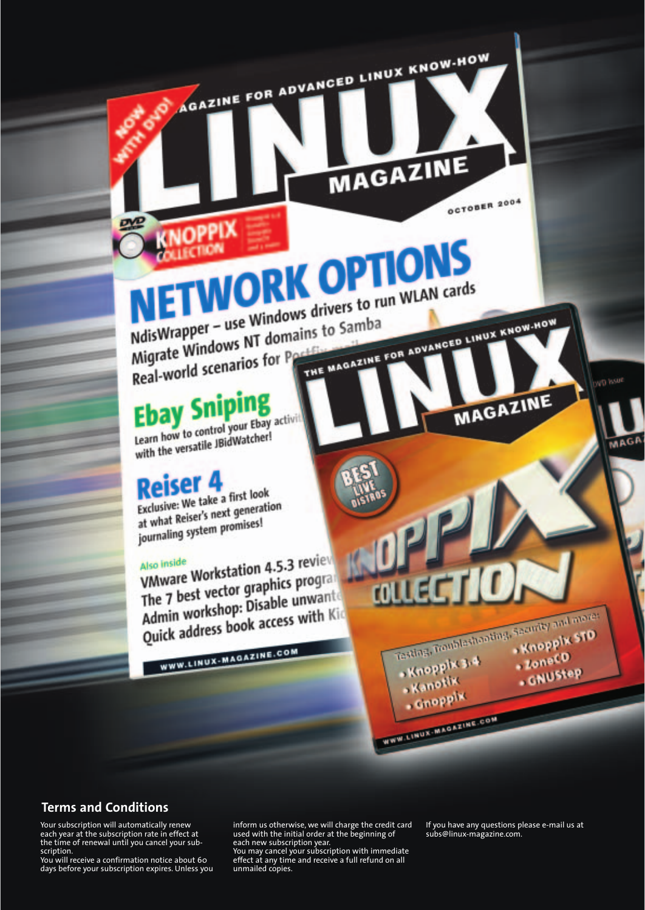**OCTOBER 2004** 

MAGAZINE

**DAID JPRING** 

MAGA

# **ETWORK OPTIONS** NETWORK drivers to run WLAN cards

AGAZINE FOR ADVANCED LINUX KNOW-HOW

MAGAZINE

THE MAGAZINE FOR ADVANCED LINUX KNOW-HOW MisWrapper – use Windows drivers<br>Migrate Windows NT domains to Samba<br>Migrate Mindows NT domains to Samba Migrate Windows N1 Gone

### Ebay Sniping

Learn how to control your Ebay activity Learn how to control your every

### **Reiser 4**

Exclusive: We take a first look Exclusive: We take a first food at what Reiser's next generation at what Reiser's next years

Also inside<br>VMware Workstation 4.5.3 review VMware Workstation 4.5.5 Text<br>The 7 best vector graphics program<br>The 7 best vector pisable unwant The 7 best vector graphics program<br>Admin workshop: Disable unwants Admin workshop: Disable unwain Kid<br>Quick address book access with Kid

WWW.LINUX-MAGAZINE.COM

**Terms and Conditions**

Your subscription will automatically renew each year at the subscription rate in effect at the time of renewal until you cancel your subscription.

You will receive a confirmation notice about 60 days before your subscription expires. Unless you inform us otherwise, we will charge the credit card used with the initial order at the beginning of each new subscription year.

You may cancel your subscription with immediate effect at any time and receive a full refund on all unmailed copies.

If you have any questions please e-mail us at subs@linux-magazine.com.

Testing, Troubleshooting, Security and moves

Knoppik 3.4

WWW.LINUX-MAGAZINE.COM

Kanotik - Cuobb<sub>ix</sub>  $LoneCD$ 

**CNUStep**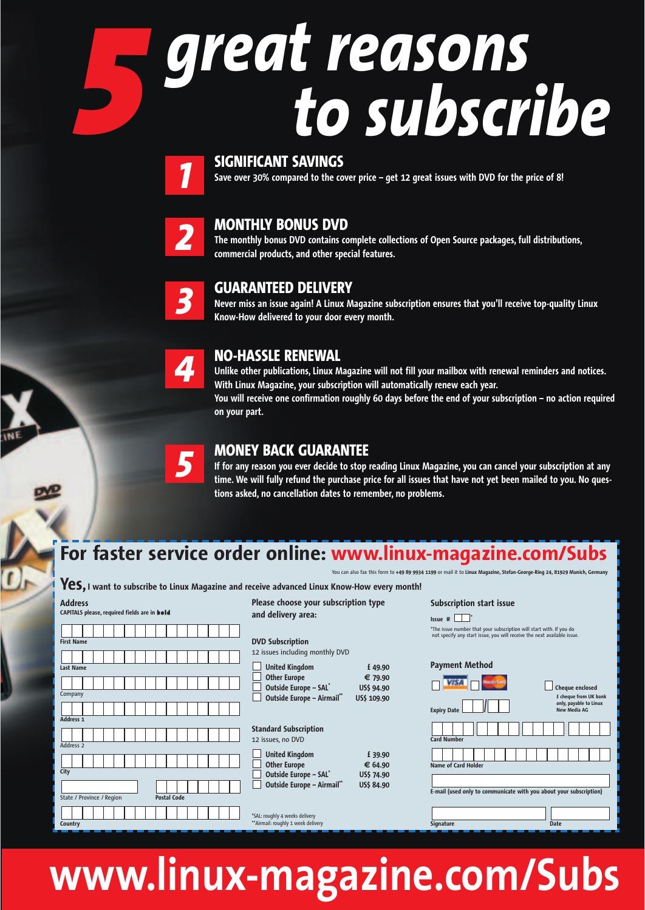# *great reasons 5 to subscribe 1*

### **SIGNIFICANT SAVINGS**

**Save over 30% compared to the cover price – get 12 great issues with DVD for the price of 8!**



### **MONTHLY BONUS DVD**

**The monthly bonus DVD contains complete collections of Open Source packages, full distributions, commercial products, and other special features.**



### **GUARANTEED DELIVERY**

**Never miss an issue again! A Linux Magazine subscription ensures that you'll receive top-quality Linux Know-How delivered to your door every month.**



*5*

### **NO-HASSLE RENEWAL**

**Unlike other publications, Linux Magazine will not fill your mailbox with renewal reminders and notices. With Linux Magazine, your subscription will automatically renew each year. You will receive one confirmation roughly 60 days before the end of your subscription – no action required on your part.**

### **MONEY BACK GUARANTEE**

**If for any reason you ever decide to stop reading Linux Magazine, you can cancel your subscription at any time. We will fully refund the purchase price for all issues that have not yet been mailed to you. No questions asked, no cancellation dates to remember, no problems.**

### **For faster service order online: www.linux-magazine.com/Subs** You can also fax this form to **+49 89 9934 1199** or mail it to **Linux Magazine, Stefan-George-Ring 24, 81929 Munich, Germany**

**Yes, I want to subscribe to Linux Magazine and receive advanced Linux Know-How every month!**

| <b>Address</b><br>CAPITALS please, required fields are in bold | Please choose your subscription type<br>and delivery area:                                                                                                                                                                     | <b>Subscription start issue</b><br>$Is sue$ #                                                                                                                                                                                                                                              |
|----------------------------------------------------------------|--------------------------------------------------------------------------------------------------------------------------------------------------------------------------------------------------------------------------------|--------------------------------------------------------------------------------------------------------------------------------------------------------------------------------------------------------------------------------------------------------------------------------------------|
| <b>First Name</b><br><b>Last Name</b><br>Company               | <b>DVD Subscription</b><br>12 issues including monthly DVD<br><b>United Kingdom</b><br>£49.90<br><b>Other Europe</b><br>€ 79.90<br>Outside Europe - SAL <sup>*</sup><br>US\$ 94.90<br>Outside Europe - Airmail"<br>US\$ 109.90 | *The issue number that your subscription will start with. If you do<br>not specify any start issue, you will receive the next available issue.<br><b>Payment Method</b><br><b>Cheaue enclosed</b><br>£ cheque from UK bank<br>only, payable to Linux<br>New Media AG<br><b>Expiry Date</b> |
| Address <sub>1</sub><br>Address 2                              | <b>Standard Subscription</b><br>12 issues, no DVD<br><b>United Kingdom</b><br>£39.90<br><b>Other Europe</b><br>€ 64.90                                                                                                         | <b>Card Number</b><br><b>Name of Card Holder</b>                                                                                                                                                                                                                                           |
| City<br><b>Postal Code</b><br>State / Province / Region        | Outside Europe - SAL <sup>*</sup><br>US\$ 74.90<br>Outside Europe - Airmail"<br>US\$ 84.90<br>*SAL: roughly 4 weeks delivery                                                                                                   | E-mail (used only to communicate with you about your subscription)                                                                                                                                                                                                                         |
| <b>Country</b>                                                 | ** Airmail: roughly 1 week delivery                                                                                                                                                                                            | Signature<br><b>Date</b>                                                                                                                                                                                                                                                                   |

## **www.linux-magazine.com/Subs**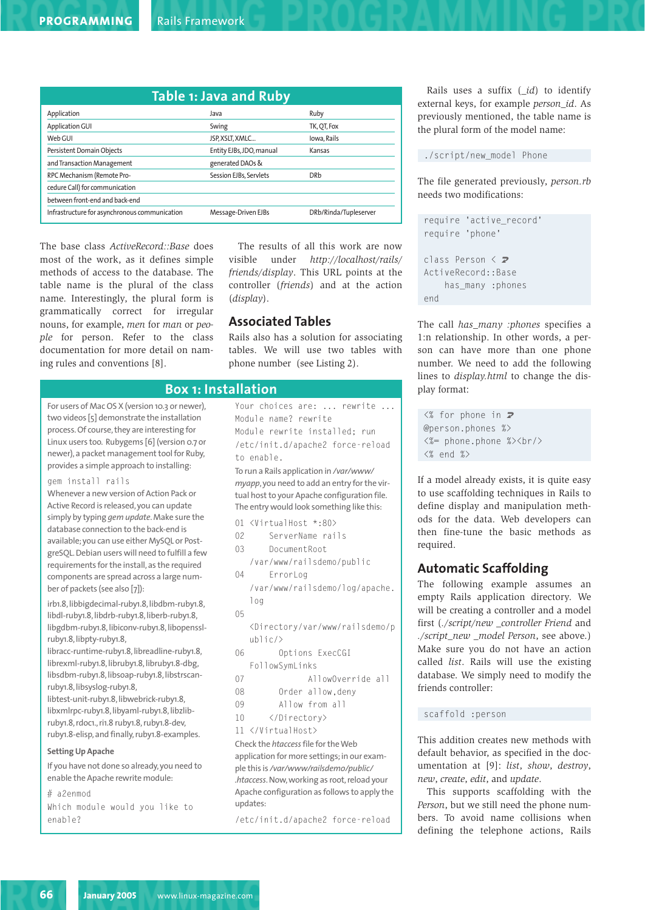|                                               | Table 1: Java and Ruby   |                       |
|-----------------------------------------------|--------------------------|-----------------------|
| Application                                   | Java                     | Ruby                  |
| Application GUI                               | Swing                    | TK, QT, Fox           |
| Web GUI                                       | JSP, XSLT, XMLC          | Iowa, Rails           |
| Persistent Domain Objects                     | Entity EJBs, JDO, manual | Kansas                |
| and Transaction Management                    | generated DAOs &         |                       |
| RPC Mechanism (Remote Pro-                    | Session EJBs, Servlets   | <b>DRb</b>            |
| cedure Call) for communication                |                          |                       |
| between front-end and back-end                |                          |                       |
| Infrastructure for asynchronous communication | Message-Driven EJBs      | DRb/Rinda/Tupleserver |

The base class *ActiveRecord::Base* does most of the work, as it defines simple methods of access to the database. The table name is the plural of the class name. Interestingly, the plural form is grammatically correct for irregular nouns, for example, *men* for *man* or *people* for person. Refer to the class documentation for more detail on naming rules and conventions [8].

The results of all this work are now visible under *http://localhost/rails/ friends/display*. This URL points at the controller (*friends*) and at the action (*display*).

### **Associated Tables**

Rails also has a solution for associating tables. We will use two tables with phone number (see Listing 2).

### **Box 1: Installation**

For users of Mac OS X (version 10.3 or newer), two videos [5] demonstrate the installation process. Of course, they are interesting for Linux users too. Rubygems [6] (version 0.7 or newer), a packet management tool for Ruby, provides a simple approach to installing:

#### gem install rails

Whenever a new version of Action Pack or Active Record is released, you can update simply by typing *gem update*. Make sure the database connection to the back-end is available; you can use either MySQL or PostgreSQL. Debian users will need to fulfill a few requirements for the install, as the required components are spread across a large number of packets (see also [7]):

irb1.8, libbigdecimal-ruby1.8, libdbm-ruby1.8, libdl-ruby1.8, libdrb-ruby1.8, liberb-ruby1.8, libgdbm-ruby1.8, libiconv-ruby1.8, libopensslruby1.8, libpty-ruby1.8,

libracc-runtime-ruby1.8, libreadline-ruby1.8, librexml-ruby1.8, libruby1.8, libruby1.8-dbg, libsdbm-ruby1.8, libsoap-ruby1.8, libstrscanruby1.8, libsyslog-ruby1.8,

libtest-unit-ruby1.8, libwebrick-ruby1.8, libxmlrpc-ruby1.8, libyaml-ruby1.8, libzlibruby1.8, rdoc1., ri1.8 ruby1.8, ruby1.8-dev, ruby1.8-elisp, and finally, ruby1.8-examples.

#### **Setting Up Apache**

If you have not done so already, you need to enable the Apache rewrite module:

# a2enmod Which module would you like to enable?

Your choices are: ... rewrite ... Module name? rewrite Module rewrite installed; run /etc/init.d/apache2 force-reload to enable.

To run a Rails application in */var/www/ myapp*, you need to add an entry for the virtual host to your Apache configuration file. The entry would look something like this:

- 01 <VirtualHost \*:80>
- 02 ServerName rails
- 03 Document Root
- /var/www/railsdemo/public 04 ErrorLog

/var/www/railsdemo/log/apache. log

05

<Directory/var/www/railsdemo/p ublic/>

- 06 Options ExecCGI FollowSymLinks
- 07 AllowOverride all
- 08 Order allow,deny
- 09 Allow from all
- 10 </Directory>
- 11 </VirtualHost>

Check the *htaccess*file for the Web application for more settings; in our example this is */var/www/railsdemo/public/ .htaccess*. Now, working as root, reload your Apache configuration as follows to apply the updates:

/etc/init.d/apache2 force-reload

Rails uses a suffix (*\_id*) to identify external keys, for example *person\_id*. As previously mentioned, the table name is the plural form of the model name:

./script/new\_model Phone

The file generated previously, *person.rb* needs two modifications:

```
require 'active_record'
require 'phone'
class Person \langle z \rangleActiveRecord::Base
    has_many :phones
end
```
The call *has\_many :phones* specifies a 1:n relationship. In other words, a person can have more than one phone number. We need to add the following lines to *display.html* to change the display format:

```
\langle\% for phone in \mathbf{Z}@person.phones %>
<%= phone.phone %><br/>>
\langle\% end \%
```
If a model already exists, it is quite easy to use scaffolding techniques in Rails to define display and manipulation methods for the data. Web developers can then fine-tune the basic methods as required.

### **Automatic Scaffolding**

The following example assumes an empty Rails application directory. We will be creating a controller and a model first (*./script/new \_controller Friend* and *./script\_new \_model Person*, see above.) Make sure you do not have an action called *list*. Rails will use the existing database. We simply need to modify the friends controller:

### scaffold :person

This addition creates new methods with default behavior, as specified in the documentation at [9]: *list*, *show*, *destroy*, *new*, *create*, *edit*, and *update*.

This supports scaffolding with the *Person*, but we still need the phone numbers. To avoid name collisions when defining the telephone actions, Rails